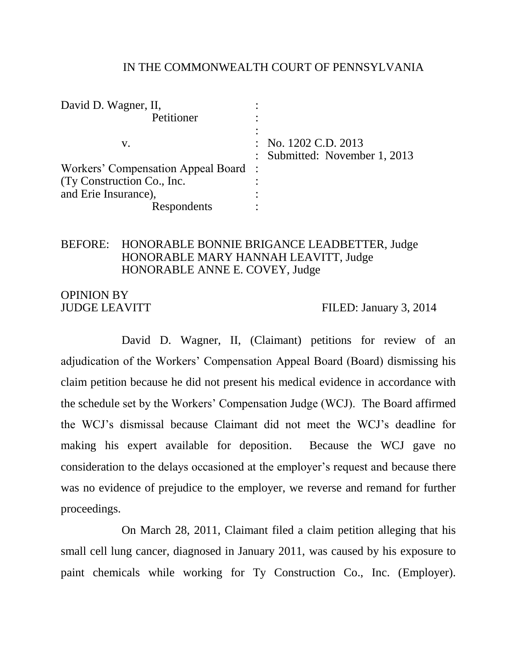#### IN THE COMMONWEALTH COURT OF PENNSYLVANIA

| David D. Wagner, II,                 |                               |
|--------------------------------------|-------------------------------|
| Petitioner                           |                               |
|                                      |                               |
| V.                                   | : No. $1202$ C.D. $2013$      |
|                                      | : Submitted: November 1, 2013 |
| Workers' Compensation Appeal Board : |                               |
| (Ty Construction Co., Inc.           |                               |
| and Erie Insurance),                 |                               |
| Respondents                          |                               |

### BEFORE: HONORABLE BONNIE BRIGANCE LEADBETTER, Judge HONORABLE MARY HANNAH LEAVITT, Judge HONORABLE ANNE E. COVEY, Judge

# OPINION BY

JUDGE LEAVITT FILED: January 3, 2014

David D. Wagner, II, (Claimant) petitions for review of an adjudication of the Workers' Compensation Appeal Board (Board) dismissing his claim petition because he did not present his medical evidence in accordance with the schedule set by the Workers' Compensation Judge (WCJ). The Board affirmed the WCJ's dismissal because Claimant did not meet the WCJ's deadline for making his expert available for deposition. Because the WCJ gave no consideration to the delays occasioned at the employer's request and because there was no evidence of prejudice to the employer, we reverse and remand for further proceedings.

On March 28, 2011, Claimant filed a claim petition alleging that his small cell lung cancer, diagnosed in January 2011, was caused by his exposure to paint chemicals while working for Ty Construction Co., Inc. (Employer).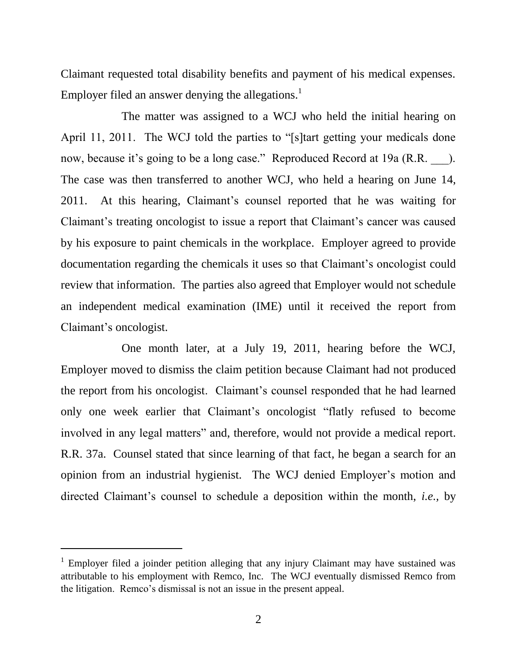Claimant requested total disability benefits and payment of his medical expenses. Employer filed an answer denying the allegations.<sup>1</sup>

The matter was assigned to a WCJ who held the initial hearing on April 11, 2011. The WCJ told the parties to "[s]tart getting your medicals done now, because it's going to be a long case." Reproduced Record at 19a (R.R. ). The case was then transferred to another WCJ, who held a hearing on June 14, 2011. At this hearing, Claimant's counsel reported that he was waiting for Claimant's treating oncologist to issue a report that Claimant's cancer was caused by his exposure to paint chemicals in the workplace. Employer agreed to provide documentation regarding the chemicals it uses so that Claimant's oncologist could review that information. The parties also agreed that Employer would not schedule an independent medical examination (IME) until it received the report from Claimant's oncologist.

One month later, at a July 19, 2011, hearing before the WCJ, Employer moved to dismiss the claim petition because Claimant had not produced the report from his oncologist. Claimant's counsel responded that he had learned only one week earlier that Claimant's oncologist "flatly refused to become involved in any legal matters" and, therefore, would not provide a medical report. R.R. 37a. Counsel stated that since learning of that fact, he began a search for an opinion from an industrial hygienist. The WCJ denied Employer's motion and directed Claimant's counsel to schedule a deposition within the month, *i.e.,* by

<sup>&</sup>lt;sup>1</sup> Employer filed a joinder petition alleging that any injury Claimant may have sustained was attributable to his employment with Remco, Inc. The WCJ eventually dismissed Remco from the litigation. Remco's dismissal is not an issue in the present appeal.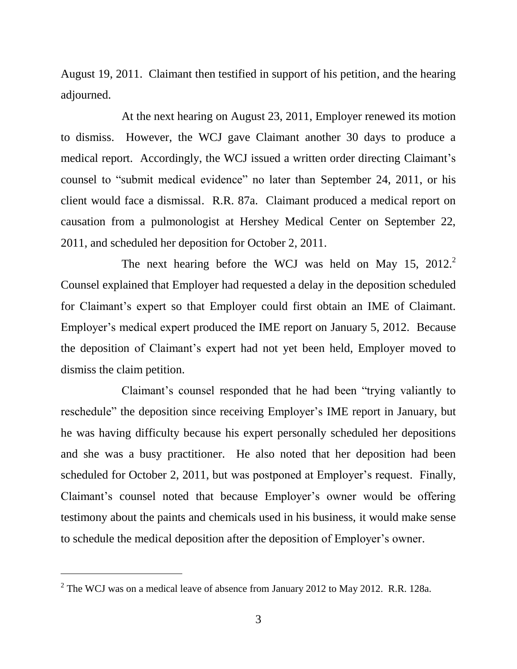August 19, 2011. Claimant then testified in support of his petition, and the hearing adjourned.

At the next hearing on August 23, 2011, Employer renewed its motion to dismiss. However, the WCJ gave Claimant another 30 days to produce a medical report. Accordingly, the WCJ issued a written order directing Claimant's counsel to "submit medical evidence" no later than September 24, 2011, or his client would face a dismissal. R.R. 87a. Claimant produced a medical report on causation from a pulmonologist at Hershey Medical Center on September 22, 2011, and scheduled her deposition for October 2, 2011.

The next hearing before the WCJ was held on May 15,  $2012.<sup>2</sup>$ Counsel explained that Employer had requested a delay in the deposition scheduled for Claimant's expert so that Employer could first obtain an IME of Claimant. Employer's medical expert produced the IME report on January 5, 2012. Because the deposition of Claimant's expert had not yet been held, Employer moved to dismiss the claim petition.

Claimant's counsel responded that he had been "trying valiantly to reschedule" the deposition since receiving Employer's IME report in January, but he was having difficulty because his expert personally scheduled her depositions and she was a busy practitioner. He also noted that her deposition had been scheduled for October 2, 2011, but was postponed at Employer's request. Finally, Claimant's counsel noted that because Employer's owner would be offering testimony about the paints and chemicals used in his business, it would make sense to schedule the medical deposition after the deposition of Employer's owner.

<sup>&</sup>lt;sup>2</sup> The WCJ was on a medical leave of absence from January 2012 to May 2012. R.R. 128a.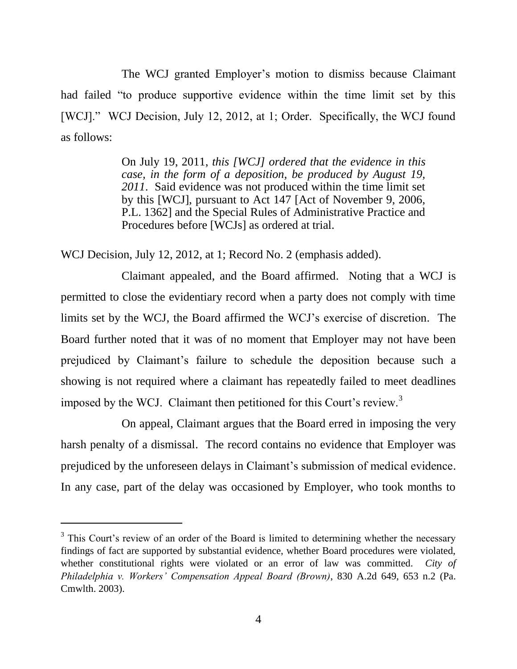The WCJ granted Employer's motion to dismiss because Claimant had failed "to produce supportive evidence within the time limit set by this [WCJ]." WCJ Decision, July 12, 2012, at 1; Order. Specifically, the WCJ found as follows:

> On July 19, 2011, *this [WCJ] ordered that the evidence in this case, in the form of a deposition, be produced by August 19, 2011*. Said evidence was not produced within the time limit set by this [WCJ], pursuant to Act 147 [Act of November 9, 2006, P.L. 1362] and the Special Rules of Administrative Practice and Procedures before [WCJs] as ordered at trial.

WCJ Decision, July 12, 2012, at 1; Record No. 2 (emphasis added).

Claimant appealed, and the Board affirmed. Noting that a WCJ is permitted to close the evidentiary record when a party does not comply with time limits set by the WCJ, the Board affirmed the WCJ's exercise of discretion. The Board further noted that it was of no moment that Employer may not have been prejudiced by Claimant's failure to schedule the deposition because such a showing is not required where a claimant has repeatedly failed to meet deadlines imposed by the WCJ. Claimant then petitioned for this Court's review.<sup>3</sup>

On appeal, Claimant argues that the Board erred in imposing the very harsh penalty of a dismissal. The record contains no evidence that Employer was prejudiced by the unforeseen delays in Claimant's submission of medical evidence. In any case, part of the delay was occasioned by Employer, who took months to

 $3$  This Court's review of an order of the Board is limited to determining whether the necessary findings of fact are supported by substantial evidence, whether Board procedures were violated, whether constitutional rights were violated or an error of law was committed. *City of Philadelphia v. Workers' Compensation Appeal Board (Brown)*, 830 A.2d 649, 653 n.2 (Pa. Cmwlth. 2003).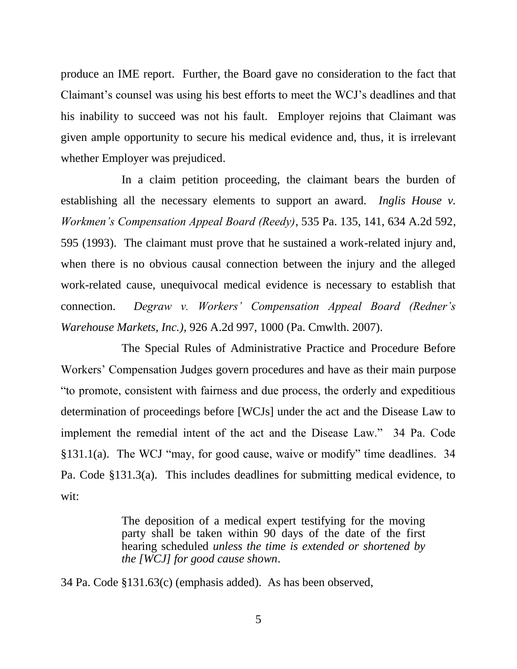produce an IME report. Further, the Board gave no consideration to the fact that Claimant's counsel was using his best efforts to meet the WCJ's deadlines and that his inability to succeed was not his fault. Employer rejoins that Claimant was given ample opportunity to secure his medical evidence and, thus, it is irrelevant whether Employer was prejudiced.

In a claim petition proceeding, the claimant bears the burden of establishing all the necessary elements to support an award. *Inglis House v. Workmen's Compensation Appeal Board (Reedy)*, 535 Pa. 135, 141, 634 A.2d 592, 595 (1993). The claimant must prove that he sustained a work-related injury and, when there is no obvious causal connection between the injury and the alleged work-related cause, unequivocal medical evidence is necessary to establish that connection. *Degraw v. Workers' Compensation Appeal Board (Redner's Warehouse Markets, Inc.)*, 926 A.2d 997, 1000 (Pa. Cmwlth. 2007).

The Special Rules of Administrative Practice and Procedure Before Workers' Compensation Judges govern procedures and have as their main purpose "to promote, consistent with fairness and due process, the orderly and expeditious determination of proceedings before [WCJs] under the act and the Disease Law to implement the remedial intent of the act and the Disease Law." 34 Pa. Code §131.1(a). The WCJ "may, for good cause, waive or modify" time deadlines. 34 Pa. Code §131.3(a). This includes deadlines for submitting medical evidence, to wit:

> The deposition of a medical expert testifying for the moving party shall be taken within 90 days of the date of the first hearing scheduled *unless the time is extended or shortened by the [WCJ] for good cause shown*.

34 Pa. Code §131.63(c) (emphasis added). As has been observed,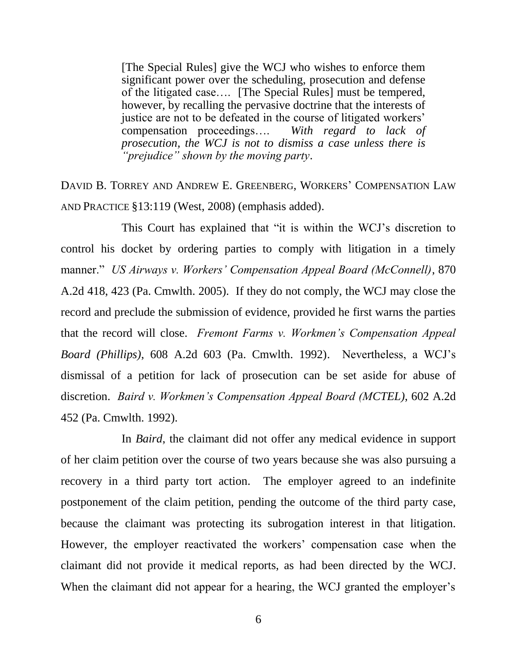[The Special Rules] give the WCJ who wishes to enforce them significant power over the scheduling, prosecution and defense of the litigated case…. [The Special Rules] must be tempered, however, by recalling the pervasive doctrine that the interests of justice are not to be defeated in the course of litigated workers' compensation proceedings…. *With regard to lack of prosecution, the WCJ is not to dismiss a case unless there is "prejudice" shown by the moving party*.

DAVID B. TORREY AND ANDREW E. GREENBERG, WORKERS' COMPENSATION LAW AND PRACTICE §13:119 (West, 2008) (emphasis added).

This Court has explained that "it is within the WCJ's discretion to control his docket by ordering parties to comply with litigation in a timely manner." *US Airways v. Workers' Compensation Appeal Board (McConnell)*, 870 A.2d 418, 423 (Pa. Cmwlth. 2005). If they do not comply, the WCJ may close the record and preclude the submission of evidence, provided he first warns the parties that the record will close. *Fremont Farms v. Workmen's Compensation Appeal Board (Phillips)*, 608 A.2d 603 (Pa. Cmwlth. 1992). Nevertheless, a WCJ's dismissal of a petition for lack of prosecution can be set aside for abuse of discretion. *Baird v. Workmen's Compensation Appeal Board (MCTEL)*, 602 A.2d 452 (Pa. Cmwlth. 1992).

In *Baird*, the claimant did not offer any medical evidence in support of her claim petition over the course of two years because she was also pursuing a recovery in a third party tort action. The employer agreed to an indefinite postponement of the claim petition, pending the outcome of the third party case, because the claimant was protecting its subrogation interest in that litigation. However, the employer reactivated the workers' compensation case when the claimant did not provide it medical reports, as had been directed by the WCJ. When the claimant did not appear for a hearing, the WCJ granted the employer's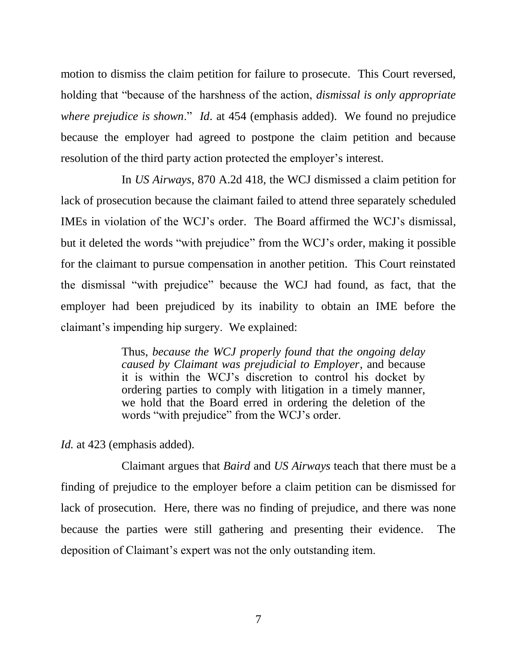motion to dismiss the claim petition for failure to prosecute. This Court reversed, holding that "because of the harshness of the action, *dismissal is only appropriate where prejudice is shown*." *Id*. at 454 (emphasis added). We found no prejudice because the employer had agreed to postpone the claim petition and because resolution of the third party action protected the employer's interest.

In *US Airways*, 870 A.2d 418, the WCJ dismissed a claim petition for lack of prosecution because the claimant failed to attend three separately scheduled IMEs in violation of the WCJ's order. The Board affirmed the WCJ's dismissal, but it deleted the words "with prejudice" from the WCJ's order, making it possible for the claimant to pursue compensation in another petition. This Court reinstated the dismissal "with prejudice" because the WCJ had found, as fact, that the employer had been prejudiced by its inability to obtain an IME before the claimant's impending hip surgery. We explained:

> Thus, *because the WCJ properly found that the ongoing delay caused by Claimant was prejudicial to Employer*, and because it is within the WCJ's discretion to control his docket by ordering parties to comply with litigation in a timely manner, we hold that the Board erred in ordering the deletion of the words "with prejudice" from the WCJ's order.

*Id.* at 423 (emphasis added).

Claimant argues that *Baird* and *US Airways* teach that there must be a finding of prejudice to the employer before a claim petition can be dismissed for lack of prosecution. Here, there was no finding of prejudice, and there was none because the parties were still gathering and presenting their evidence. The deposition of Claimant's expert was not the only outstanding item.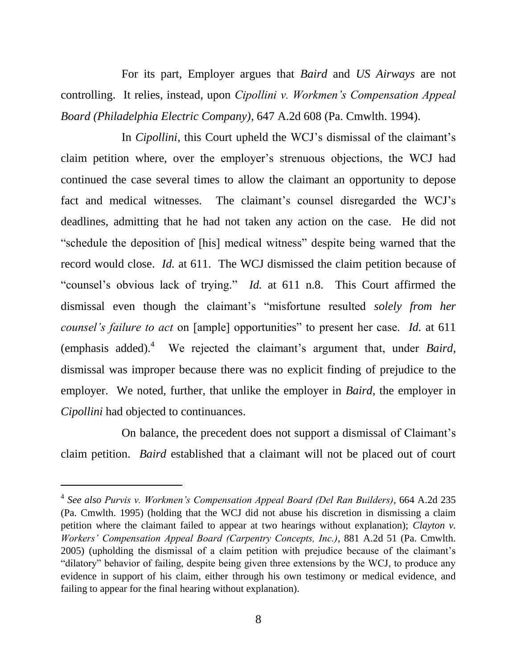For its part, Employer argues that *Baird* and *US Airways* are not controlling. It relies, instead, upon *Cipollini v. Workmen's Compensation Appeal Board (Philadelphia Electric Company)*, 647 A.2d 608 (Pa. Cmwlth. 1994).

In *Cipollini*, this Court upheld the WCJ's dismissal of the claimant's claim petition where, over the employer's strenuous objections, the WCJ had continued the case several times to allow the claimant an opportunity to depose fact and medical witnesses. The claimant's counsel disregarded the WCJ's deadlines, admitting that he had not taken any action on the case. He did not "schedule the deposition of [his] medical witness" despite being warned that the record would close. *Id.* at 611. The WCJ dismissed the claim petition because of "counsel's obvious lack of trying." *Id.* at 611 n.8. This Court affirmed the dismissal even though the claimant's "misfortune resulted *solely from her counsel's failure to act* on [ample] opportunities" to present her case. *Id.* at 611 (emphasis added).<sup>4</sup> We rejected the claimant's argument that, under *Baird*, dismissal was improper because there was no explicit finding of prejudice to the employer. We noted, further, that unlike the employer in *Baird,* the employer in *Cipollini* had objected to continuances.

On balance, the precedent does not support a dismissal of Claimant's claim petition. *Baird* established that a claimant will not be placed out of court

<sup>4</sup> *See also Purvis v. Workmen's Compensation Appeal Board (Del Ran Builders)*, 664 A.2d 235 (Pa. Cmwlth. 1995) (holding that the WCJ did not abuse his discretion in dismissing a claim petition where the claimant failed to appear at two hearings without explanation); *Clayton v. Workers' Compensation Appeal Board (Carpentry Concepts, Inc.)*, 881 A.2d 51 (Pa. Cmwlth. 2005) (upholding the dismissal of a claim petition with prejudice because of the claimant's "dilatory" behavior of failing, despite being given three extensions by the WCJ, to produce any evidence in support of his claim, either through his own testimony or medical evidence, and failing to appear for the final hearing without explanation).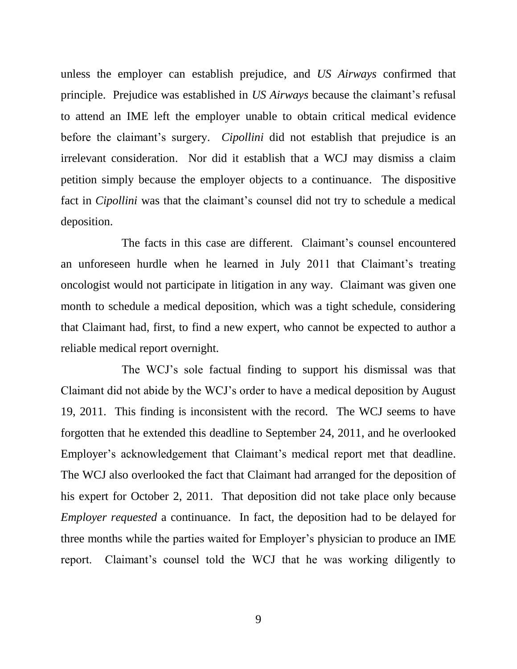unless the employer can establish prejudice, and *US Airways* confirmed that principle. Prejudice was established in *US Airways* because the claimant's refusal to attend an IME left the employer unable to obtain critical medical evidence before the claimant's surgery. *Cipollini* did not establish that prejudice is an irrelevant consideration. Nor did it establish that a WCJ may dismiss a claim petition simply because the employer objects to a continuance. The dispositive fact in *Cipollini* was that the claimant's counsel did not try to schedule a medical deposition.

The facts in this case are different. Claimant's counsel encountered an unforeseen hurdle when he learned in July 2011 that Claimant's treating oncologist would not participate in litigation in any way. Claimant was given one month to schedule a medical deposition, which was a tight schedule, considering that Claimant had, first, to find a new expert, who cannot be expected to author a reliable medical report overnight.

The WCJ's sole factual finding to support his dismissal was that Claimant did not abide by the WCJ's order to have a medical deposition by August 19, 2011. This finding is inconsistent with the record. The WCJ seems to have forgotten that he extended this deadline to September 24, 2011, and he overlooked Employer's acknowledgement that Claimant's medical report met that deadline. The WCJ also overlooked the fact that Claimant had arranged for the deposition of his expert for October 2, 2011. That deposition did not take place only because *Employer requested* a continuance. In fact, the deposition had to be delayed for three months while the parties waited for Employer's physician to produce an IME report. Claimant's counsel told the WCJ that he was working diligently to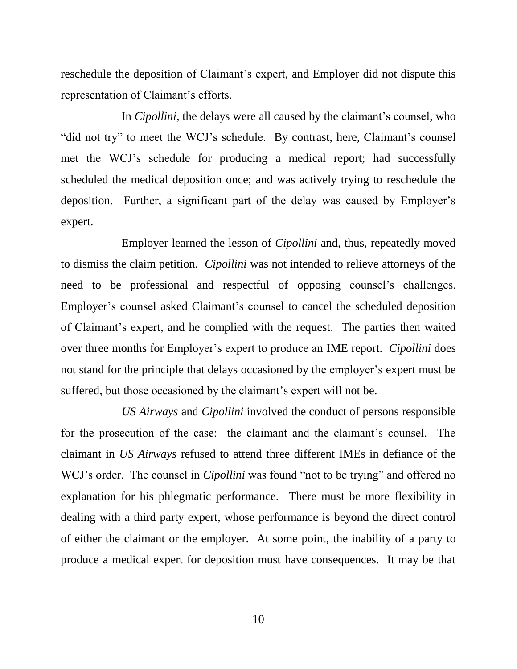reschedule the deposition of Claimant's expert, and Employer did not dispute this representation of Claimant's efforts.

In *Cipollini,* the delays were all caused by the claimant's counsel, who "did not try" to meet the WCJ's schedule. By contrast, here, Claimant's counsel met the WCJ's schedule for producing a medical report; had successfully scheduled the medical deposition once; and was actively trying to reschedule the deposition. Further, a significant part of the delay was caused by Employer's expert.

Employer learned the lesson of *Cipollini* and, thus, repeatedly moved to dismiss the claim petition. *Cipollini* was not intended to relieve attorneys of the need to be professional and respectful of opposing counsel's challenges. Employer's counsel asked Claimant's counsel to cancel the scheduled deposition of Claimant's expert, and he complied with the request. The parties then waited over three months for Employer's expert to produce an IME report. *Cipollini* does not stand for the principle that delays occasioned by the employer's expert must be suffered, but those occasioned by the claimant's expert will not be.

*US Airways* and *Cipollini* involved the conduct of persons responsible for the prosecution of the case: the claimant and the claimant's counsel. The claimant in *US Airways* refused to attend three different IMEs in defiance of the WCJ's order. The counsel in *Cipollini* was found "not to be trying" and offered no explanation for his phlegmatic performance. There must be more flexibility in dealing with a third party expert, whose performance is beyond the direct control of either the claimant or the employer. At some point, the inability of a party to produce a medical expert for deposition must have consequences. It may be that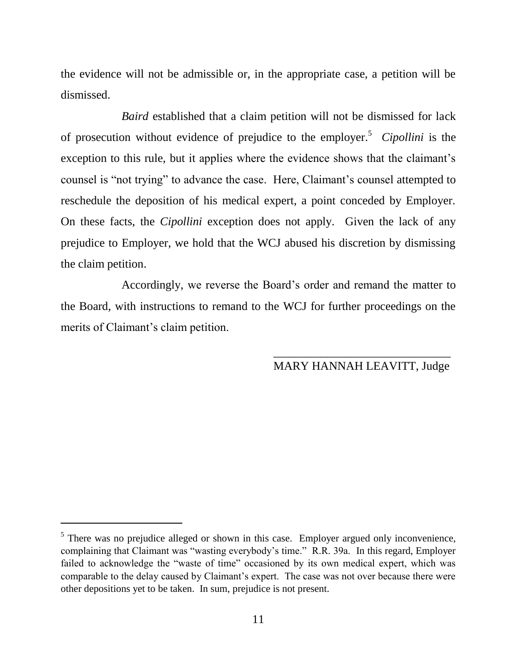the evidence will not be admissible or, in the appropriate case, a petition will be dismissed.

*Baird* established that a claim petition will not be dismissed for lack of prosecution without evidence of prejudice to the employer. <sup>5</sup> *Cipollini* is the exception to this rule, but it applies where the evidence shows that the claimant's counsel is "not trying" to advance the case. Here, Claimant's counsel attempted to reschedule the deposition of his medical expert, a point conceded by Employer. On these facts, the *Cipollini* exception does not apply. Given the lack of any prejudice to Employer, we hold that the WCJ abused his discretion by dismissing the claim petition.

Accordingly, we reverse the Board's order and remand the matter to the Board, with instructions to remand to the WCJ for further proceedings on the merits of Claimant's claim petition.

> \_\_\_\_\_\_\_\_\_\_\_\_\_\_\_\_\_\_\_\_\_\_\_\_\_\_\_\_\_\_ MARY HANNAH LEAVITT, Judge

 $<sup>5</sup>$  There was no prejudice alleged or shown in this case. Employer argued only inconvenience,</sup> complaining that Claimant was "wasting everybody's time." R.R. 39a. In this regard, Employer failed to acknowledge the "waste of time" occasioned by its own medical expert, which was comparable to the delay caused by Claimant's expert. The case was not over because there were other depositions yet to be taken. In sum, prejudice is not present.